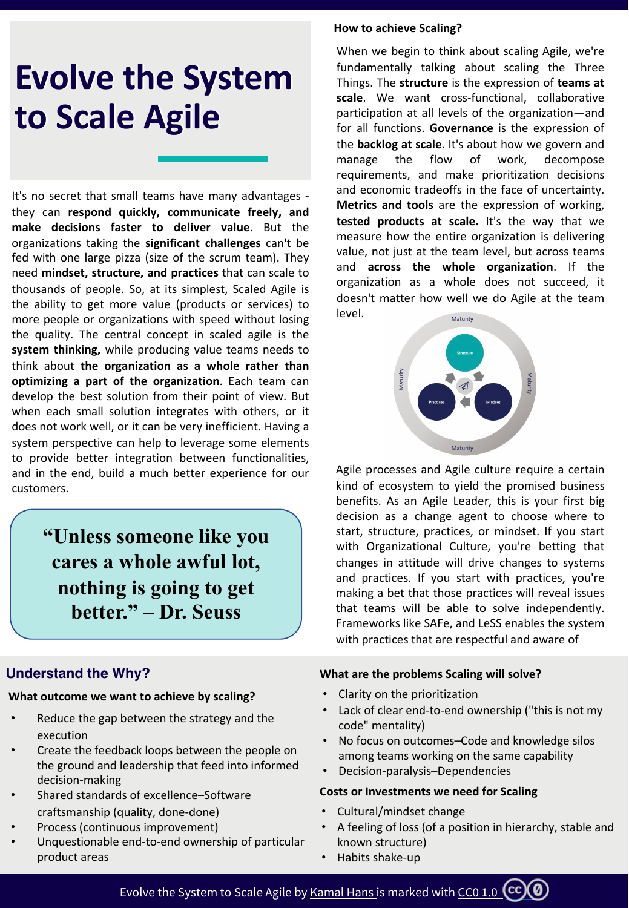# **Evolve the System Evolve the System to Scale Agile to Scale Agile**

It's no secret that small teams have many advantages they can **respond quickly, communicate freely, and make decisions faster to deliver value**. But the organizations taking the **significant challenges** can't be fed with one large pizza (size of the scrum team). They need **mindset, structure, and practices** that can scale to thousands of people. So, at its simplest, Scaled Agile is the ability to get more value (products or services) to more people or organizations with speed without losing the quality. The central concept in scaled agile is the **system thinking,** while producing value teams needs to think about **the organization as a whole rather than optimizing a part of the organization**. Each team can develop the best solution from their point of view. But when each small solution integrates with others, or it does not work well, or it can be very inefficient. Having a system perspective can help to leverage some elements to provide better integration between functionalities, and in the end, build a much better experience for our customers.

> **"Unless someone like you cares a whole awful lot, nothing is going to get better." – Dr. Seuss**

# **Understand the Why?**

#### **What outcome we want to achieve by scaling?**

- Reduce the gap between the strategy and the execution
- Create the feedback loops between the people on the ground and leadership that feed into informed decision-making
- Shared standards of excellence–Software craftsmanship (quality, done-done)
- Process (continuous improvement)
- Unquestionable end-to-end ownership of particular product areas

#### **How to achieve Scaling?**

When we begin to think about scaling Agile, we're fundamentally talking about scaling the Three Things. The **structure** is the expression of **teams at scale**. We want cross-functional, collaborative participation at all levels of the organization—and for all functions. **Governance** is the expression of the **backlog at scale**. It's about how we govern and manage the flow of work, decompose requirements, and make prioritization decisions and economic tradeoffs in the face of uncertainty. **Metrics and tools** are the expression of working, **tested products at scale.** It's the way that we measure how the entire organization is delivering value, not just at the team level, but across teams and **across the whole organization**. If the organization as a whole does not succeed, it doesn't matter how well we do Agile at the team level.



Agile processes and Agile culture require a certain kind of ecosystem to yield the promised business benefits. As an Agile Leader, this is your first big decision as a change agent to choose where to start, structure, practices, or mindset. If you start with Organizational Culture, you're betting that changes in attitude will drive changes to systems and practices. If you start with practices, you're making a bet that those practices will reveal issues that teams will be able to solve independently. Frameworks like SAFe, and LeSS enables the system with practices that are respectful and aware of

#### **What are the problems Scaling will solve?**

- Clarity on the prioritization
- Lack of clear end-to-end ownership ("this is not my code" mentality)
- No focus on outcomes–Code and knowledge silos among teams working on the same capability
- Decision-paralysis–Dependencies

#### **Costs or Investments we need for Scaling**

- Cultural/mindset change
- A feeling of loss (of a position in hierarchy, stable and known structure)
- Habits shake-up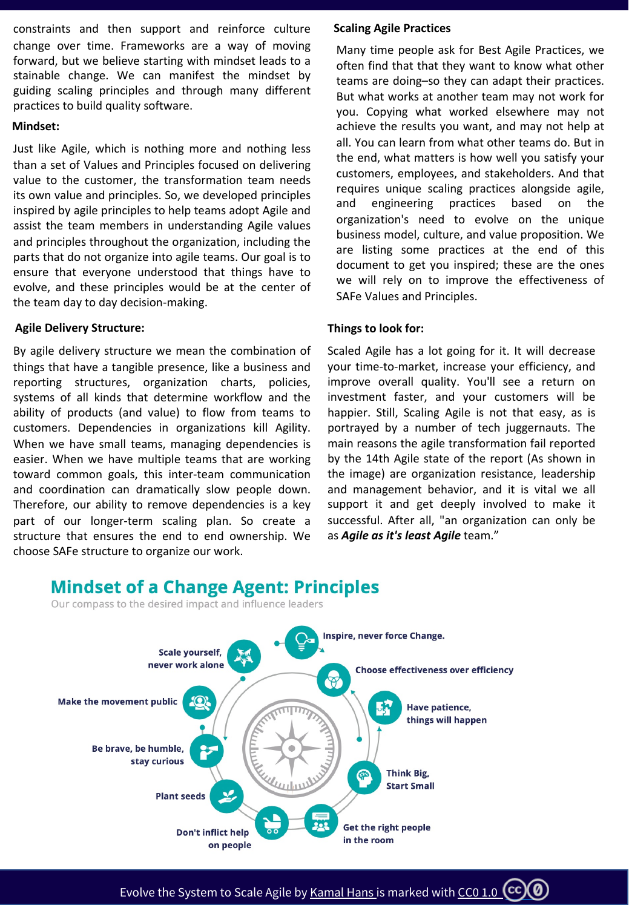constraints and then support and reinforce culture change over time. Frameworks are a way of moving forward, but we believe starting with mindset leads to a stainable change. We can manifest the mindset by guiding scaling principles and through many different practices to build quality software.

#### **Mindset:**

Just like Agile, which is nothing more and nothing less than a set of Values and Principles focused on delivering value to the customer, the transformation team needs its own value and principles. So, we developed principles inspired by agile principles to help teams adopt Agile and assist the team members in understanding Agile values and principles throughout the organization, including the parts that do not organize into agile teams. Our goal is to ensure that everyone understood that things have to evolve, and these principles would be at the center of the team day to day decision-making.

#### **Agile Delivery Structure:**

By agile delivery structure we mean the combination of things that have a tangible presence, like a business and reporting structures, organization charts, policies, systems of all kinds that determine workflow and the ability of products (and value) to flow from teams to customers. Dependencies in organizations kill Agility. When we have small teams, managing dependencies is easier. When we have multiple teams that are working toward common goals, this inter-team communication and coordination can dramatically slow people down. Therefore, our ability to remove dependencies is a key part of our longer-term scaling plan. So create a structure that ensures the end to end ownership. We choose SAFe structure to organize our work.

#### **Scaling Agile Practices**

Many time people ask for Best Agile Practices, we often find that that they want to know what other teams are doing–so they can adapt their practices. But what works at another team may not work for you. Copying what worked elsewhere may not achieve the results you want, and may not help at all. You can learn from what other teams do. But in the end, what matters is how well you satisfy your customers, employees, and stakeholders. And that requires unique scaling practices alongside agile, and engineering practices based on the organization's need to evolve on the unique business model, culture, and value proposition. We are listing some practices at the end of this document to get you inspired; these are the ones we will rely on to improve the effectiveness of SAFe Values and Principles.

#### **Things to look for:**

Scaled Agile has a lot going for it. It will decrease your time-to-market, increase your efficiency, and improve overall quality. You'll see a return on investment faster, and your customers will be happier. Still, Scaling Agile is not that easy, as is portrayed by a number of tech juggernauts. The main reasons the agile transformation fail reported by the 14th Agile state of the report (As shown in the image) are organization resistance, leadership and management behavior, and it is vital we all support it and get deeply involved to make it successful. After all, "an organization can only be as *Agile as it's least Agile* team."

# **Mindset of a Change Agent: Principles**

Our compass to the desired impact and influence leaders



Evolve the System to Scale Agile by <u>Kamal Hans is marked with CC0 1.</u>0  $\left({\rm cc}\right)\!(\delta)$